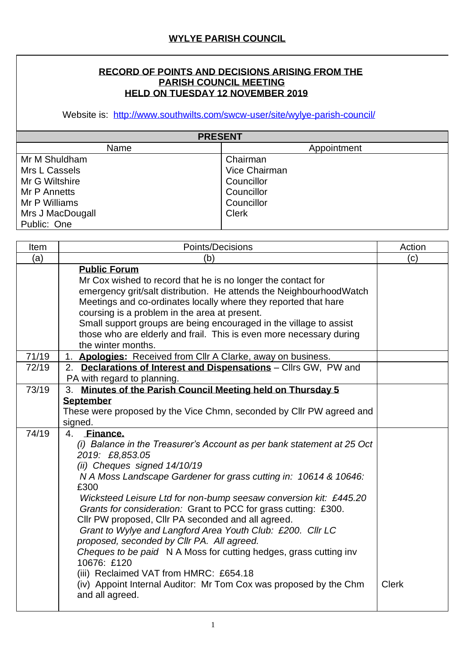## **RECORD OF POINTS AND DECISIONS ARISING FROM THE PARISH COUNCIL MEETING HELD ON TUESDAY 12 NOVEMBER 2019**

Website is: <http://www.southwilts.com/swcw-user/site/wylye-parish-council/>

| <b>PRESENT</b>   |               |  |  |  |
|------------------|---------------|--|--|--|
| Name             | Appointment   |  |  |  |
| Mr M Shuldham    | Chairman      |  |  |  |
| Mrs L Cassels    | Vice Chairman |  |  |  |
| Mr G Wiltshire   | Councillor    |  |  |  |
| Mr P Annetts     | Councillor    |  |  |  |
| Mr P Williams    | Councillor    |  |  |  |
| Mrs J MacDougall | <b>Clerk</b>  |  |  |  |
| Public: One      |               |  |  |  |

| Item  | Points/Decisions                                                                                                                                                                                                                                                                                                                                                                                                                                                                                                                                                                                                                                                                                                                                               | Action       |
|-------|----------------------------------------------------------------------------------------------------------------------------------------------------------------------------------------------------------------------------------------------------------------------------------------------------------------------------------------------------------------------------------------------------------------------------------------------------------------------------------------------------------------------------------------------------------------------------------------------------------------------------------------------------------------------------------------------------------------------------------------------------------------|--------------|
| (a)   | (b)                                                                                                                                                                                                                                                                                                                                                                                                                                                                                                                                                                                                                                                                                                                                                            | (c)          |
|       | <b>Public Forum</b><br>Mr Cox wished to record that he is no longer the contact for<br>emergency grit/salt distribution. He attends the Neighbourhood Watch<br>Meetings and co-ordinates locally where they reported that hare<br>coursing is a problem in the area at present.<br>Small support groups are being encouraged in the village to assist<br>those who are elderly and frail. This is even more necessary during<br>the winter months.                                                                                                                                                                                                                                                                                                             |              |
| 71/19 | 1. Apologies: Received from Cllr A Clarke, away on business.                                                                                                                                                                                                                                                                                                                                                                                                                                                                                                                                                                                                                                                                                                   |              |
| 72/19 | 2. Declarations of Interest and Dispensations - Cllrs GW, PW and<br>PA with regard to planning.                                                                                                                                                                                                                                                                                                                                                                                                                                                                                                                                                                                                                                                                |              |
| 73/19 | 3. Minutes of the Parish Council Meeting held on Thursday 5                                                                                                                                                                                                                                                                                                                                                                                                                                                                                                                                                                                                                                                                                                    |              |
|       | <b>September</b><br>These were proposed by the Vice Chmn, seconded by CIIr PW agreed and<br>signed.                                                                                                                                                                                                                                                                                                                                                                                                                                                                                                                                                                                                                                                            |              |
| 74/19 | <b>Finance.</b><br>4.<br>(i) Balance in the Treasurer's Account as per bank statement at 25 Oct<br>2019: £8,853.05<br>(ii) Cheques signed 14/10/19<br>N A Moss Landscape Gardener for grass cutting in: 10614 & 10646:<br>£300<br>Wicksteed Leisure Ltd for non-bump seesaw conversion kit: £445.20<br>Grants for consideration: Grant to PCC for grass cutting: £300.<br>Cllr PW proposed, Cllr PA seconded and all agreed.<br>Grant to Wylye and Langford Area Youth Club: £200. Cllr LC<br>proposed, seconded by Cllr PA. All agreed.<br>Cheques to be paid N A Moss for cutting hedges, grass cutting inv<br>10676: £120<br>(iii) Reclaimed VAT from HMRC: £654.18<br>(iv) Appoint Internal Auditor: Mr Tom Cox was proposed by the Chm<br>and all agreed. | <b>Clerk</b> |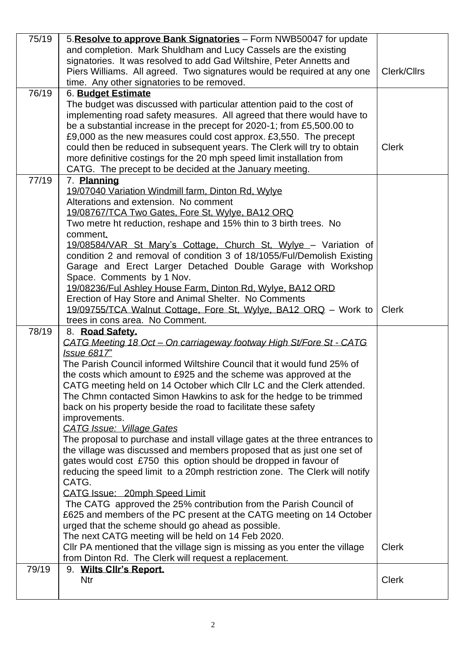| 75/19 | 5. Resolve to approve Bank Signatories - Form NWB50047 for update<br>and completion. Mark Shuldham and Lucy Cassels are the existing<br>signatories. It was resolved to add Gad Wiltshire, Peter Annetts and<br>Piers Williams. All agreed. Two signatures would be required at any one<br>time. Any other signatories to be removed.                                                                                                                                                                                                                                                                                                                                                                                                                                                                                                                                                                                                                                                                                                                                                                                                                                                                                                                                                        | Clerk/Cllrs  |
|-------|----------------------------------------------------------------------------------------------------------------------------------------------------------------------------------------------------------------------------------------------------------------------------------------------------------------------------------------------------------------------------------------------------------------------------------------------------------------------------------------------------------------------------------------------------------------------------------------------------------------------------------------------------------------------------------------------------------------------------------------------------------------------------------------------------------------------------------------------------------------------------------------------------------------------------------------------------------------------------------------------------------------------------------------------------------------------------------------------------------------------------------------------------------------------------------------------------------------------------------------------------------------------------------------------|--------------|
| 76/19 | 6. Budget Estimate<br>The budget was discussed with particular attention paid to the cost of<br>implementing road safety measures. All agreed that there would have to<br>be a substantial increase in the precept for 2020-1; from £5,500.00 to<br>£9,000 as the new measures could cost approx. £3,550. The precept<br>could then be reduced in subsequent years. The Clerk will try to obtain<br>more definitive costings for the 20 mph speed limit installation from<br>CATG. The precept to be decided at the January meeting.                                                                                                                                                                                                                                                                                                                                                                                                                                                                                                                                                                                                                                                                                                                                                         | <b>Clerk</b> |
| 77/19 | 7. Planning<br>19/07040 Variation Windmill farm, Dinton Rd, Wylye<br>Alterations and extension. No comment<br>19/08767/TCA Two Gates, Fore St, Wylye, BA12 ORQ<br>Two metre ht reduction, reshape and 15% thin to 3 birth trees. No<br>comment.<br>19/08584/VAR St Mary's Cottage, Church St, Wylye - Variation of<br>condition 2 and removal of condition 3 of 18/1055/Ful/Demolish Existing<br>Garage and Erect Larger Detached Double Garage with Workshop<br>Space. Comments by 1 Nov.<br>19/08236/Ful Ashley House Farm, Dinton Rd, Wylye, BA12 ORD<br>Erection of Hay Store and Animal Shelter. No Comments<br>19/09755/TCA Walnut Cottage, Fore St, Wylye, BA12 ORQ - Work to<br>trees in cons area. No Comment.                                                                                                                                                                                                                                                                                                                                                                                                                                                                                                                                                                      | <b>Clerk</b> |
| 78/19 | 8. Road Safety.<br>CATG Meeting 18 Oct - On carriageway footway High St/Fore St - CATG<br><b>Issue 6817"</b><br>The Parish Council informed Wiltshire Council that it would fund 25% of<br>the costs which amount to £925 and the scheme was approved at the<br>CATG meeting held on 14 October which CIIr LC and the Clerk attended.<br>The Chmn contacted Simon Hawkins to ask for the hedge to be trimmed<br>back on his property beside the road to facilitate these safety<br>improvements.<br><b>CATG Issue: Village Gates</b><br>The proposal to purchase and install village gates at the three entrances to<br>the village was discussed and members proposed that as just one set of<br>gates would cost £750 this option should be dropped in favour of<br>reducing the speed limit to a 20mph restriction zone. The Clerk will notify<br>CATG.<br>CATG Issue: 20mph Speed Limit<br>The CATG approved the 25% contribution from the Parish Council of<br>£625 and members of the PC present at the CATG meeting on 14 October<br>urged that the scheme should go ahead as possible.<br>The next CATG meeting will be held on 14 Feb 2020.<br>CIIr PA mentioned that the village sign is missing as you enter the village<br>from Dinton Rd. The Clerk will request a replacement. | <b>Clerk</b> |
| 79/19 | 9. Wilts Cllr's Report.<br><b>Ntr</b>                                                                                                                                                                                                                                                                                                                                                                                                                                                                                                                                                                                                                                                                                                                                                                                                                                                                                                                                                                                                                                                                                                                                                                                                                                                        | <b>Clerk</b> |